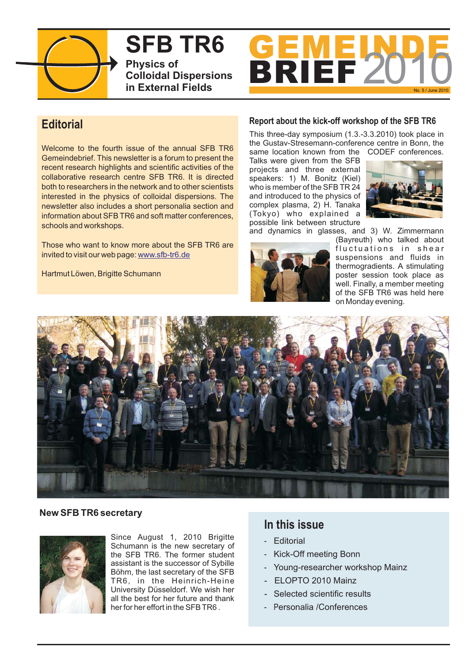

**SFB TR6 Physics of Colloidal Dispersions in External Fields**



# **Editorial**

Welcome to the fourth issue of the annual SFB TR6 Gemeindebrief. This newsletter is a forum to present the recent research highlights and scientific activities of the collaborative research centre SFB TR6. It is directed both to researchers in the network and to other scientists interested in the physics of colloidal dispersions. The newsletter also includes a short personalia section and information about SFB TR6 and soft matter conferences, schools and workshops.

Those who want to know more about the SFB TR6 are invited to visit our web page: www.sfb-tr6.de

Hartmut Löwen, Brigitte Schumann

# **Report about the kick-off workshop of the SFB TR6**

This three-day symposium (1.3.-3.3.2010) took place in the Gustav-Stresemann-conference centre in Bonn, the same location known from the CODEF conferences.

Talks were given from the SFB projects and three external speakers: 1) M. Bonitz (Kiel) who is member of the SFB TR 24 and introduced to the physics of complex plasma, 2) H. Tanaka (Tokyo) who explained a possible link between structure and dynamics in glasses, and 3) W. Zimmermann



(Bayreuth) who talked about fluctuations in shear suspensions and fluids in

thermogradients. A stimulating poster session took place as well. Finally, a member meeting of the SFB TR6 was held here on Monday evening.



# **New SFB TR6 secretary**



Since August 1, 2010 Brigitte Schumann is the new secretary of the SFB TR6. The former student assistant is the successor of Sybille Böhm, the last secretary of the SFB TR6, in the Heinrich-Heine University Düsseldorf. We wish her all the best for her future and thank her for her effort in the SFB TR6 .

# **In this issue**

- Editorial
- Kick-Off meeting Bonn
- Young-researcher workshop Mainz
- ELOPTO 2010 Mainz
- Selected scientific results
- P ersonalia /Conferences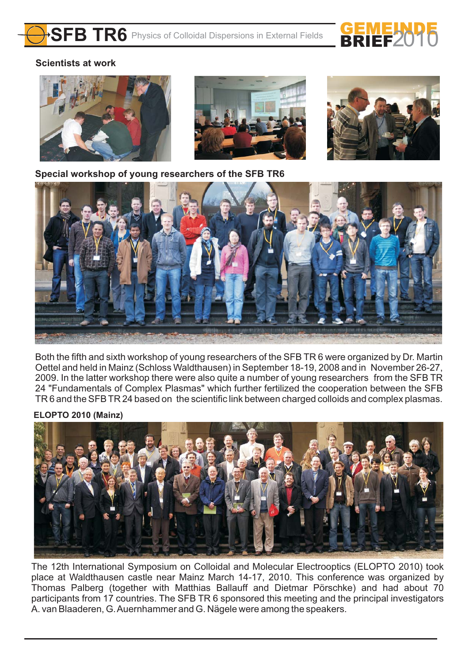

# **Scientists at work**



**Special workshop of young researchers of the SFB TR6**



Both the fifth and sixth workshop of young researchers of the SFB TR 6 were organized by Dr. Martin Oettel and held in Mainz (Schloss Waldthausen) in September 18-19, 2008 and in November 26-27, 2009. In the latter workshop there were also quite a number of young researchers from the SFB TR 24 "Fundamentals of Complex Plasmas" which further fertilized the cooperation between the SFB TR 6 and the SFB TR 24 based on the scientific link between charged colloids and complex plasmas.

# **ELOPTO 2010 (Mainz)**



The 12th International Symposium on Colloidal and Molecular Electrooptics (ELOPTO 2010) took place at Waldthausen castle near Mainz March 14-17, 2010. This conference was organized by Thomas Palberg (together with Matthias Ballauff and Dietmar Pörschke) and had about 70 participants from 17 countries. The SFB TR 6 sponsored this meeting and the principal investigators A. van Blaaderen, G.Auernhammer and G. Nägele were among the speakers.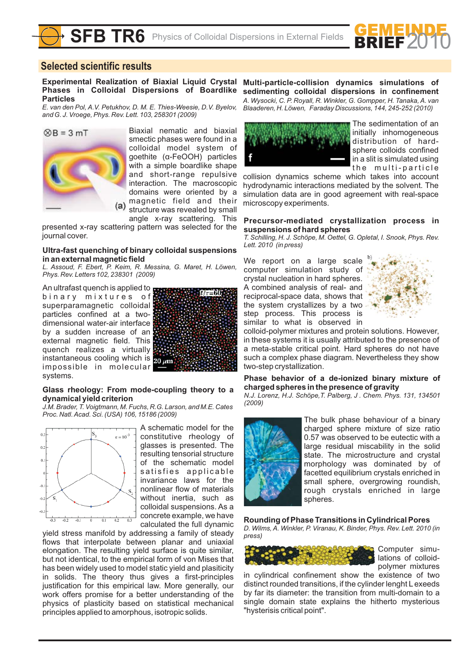

# **Selected scientific results**

**Experimental Realization of Biaxial Liquid Crystal Phases in Colloidal Dispersions of Boardlike Particles**

*E. van den Pol, A.V. Petukhov, D. M. E. Thies-Weesie, D.V. Byelov, and G. J. Vroege, Phys. Rev. Lett. 103, 258301 (2009)*



Biaxial nematic and biaxial smectic phases were found in a colloidal model system of goethite (α-FeOOH) particles with a simple boardlike shape and short-range repulsive interaction. The macroscopic domains were oriented by a magnetic field and their structure was revealed by small angle x-ray scattering. This

presented x-ray scattering pattern was selected for the journal cover.

### **Ultra-fast quenching of binary colloidal suspensions in an external magnetic field**

*L. Assoud, F. Ebert, P. Keim, R. Messina, G. Maret, H. Löwen, Phys. Rev. Letters 102, 238301 (2009)*

An ultrafast quench is applied to  $\blacksquare$ binary mixtures of superparamagnetic colloidal particles confined at a twodimensional water-air interface by a sudden increase of an external magnetic field. This quench realizes a virtually instantaneous cooling which is 20 pm impossible in molecular systems.



### **Glass rheology: From mode-coupling theory to a dynamical yield criterion**

*J.M. Brader, T. Voigtmann, M. Fuchs, R.G. Larson, and M.E. Cates Proc. Natl.Acad. Sci. (USA) 106, 15186 (2009)*



A schematic model for the constitutive rheology of glasses is presented. The resulting tensorial structure of the schematic model satisfies applicable invariance laws for the nonlinear flow of materials without inertia, such as colloidal suspensions. As a concrete example, we have calculated the full dynamic

yield stress manifold by addressing a family of steady flows that interpolate between planar and uniaxial elongation. The resulting yield surface is quite similar, but not identical, to the empirical form of von Mises that has been widely used to model static yield and plasiticity in solids. The theory thus gives a first-principles justification for this empirical law. More generally, our work offers promise for a better understanding of the physics of plasticity based on statistical mechanical principles applied to amorphous, isotropic solids.

**Multi-particle-collision dynamics simulations of sedimenting colloidal dispersions in confinement** *A. Wysocki, C. P. Royall, R. Winkler, G. Gompper, H. Tanaka, A. van Blaaderen, H. Löwen, Faraday Discussions, 144, 245-252 (2010)*



The sedimentation of an initially inhomogeneous distribution of hardsphere colloids confined in a slit is simulated using the multi-particle

collision dynamics scheme which takes into account hydrodynamic interactions mediated by the solvent. The simulation data are in good agreement with real-space microscopy experiments.

### **Precursor-mediated crystallization process in suspensions of hard spheres**

*T. Schilling, H. J. Schöpe, M. Oettel, G. Opletal, I. Snook, Phys. Rev. Lett. 2010 (in press)*

We report on a large scale computer simulation study of crystal nucleation in hard spheres. A combined analysis of real- and reciprocal-space data, shows that the system crystallizes by a two step process. This process is similar to what is observed in



colloid-polymer mixtures and protein solutions. However, in these systems it is usually attributed to the presence of a meta-stable critical point. Hard spheres do not have such a complex phase diagram. Nevertheless they show two-step crystallization.

### **Phase behavior of a de-ionized binary mixture of charged spheres in the presence of gravity**

*N.J. Lorenz, H.J. Schöpe,T. Palberg, J . Chem. Phys. 131, 134501 (2009)*



The bulk phase behaviour of a binary charged sphere mixture of size ratio 0.57 was observed to be eutectic with a large residual miscability in the solid state. The microstructure and crystal morphology was dominated by of facetted equilibrium crystals enriched in small sphere, overgrowing roundish, rough crystals enriched in large spheres.

### **Rounding of Phase Transitions in Cylindrical Pores**

*D. Wilms, A. Winkler, P. Viranau, K. Binder, Phys. Rev. Lett. 2010 (in press)*



Computer simulations of colloidpolymer mixtures

in cylindrical confinement show the existence of two distinct rounded transitions, if the cylinder lenght L exeeds by far its diameter: the transition from multi-domain to a single domain state explains the hitherto mysterious "hysterisis critical point".